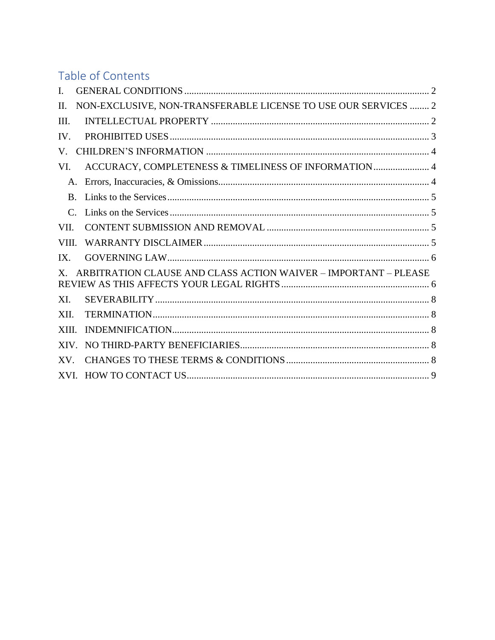# Table of Contents

| L               |                                                                 |  |
|-----------------|-----------------------------------------------------------------|--|
| Π.              | NON-EXCLUSIVE, NON-TRANSFERABLE LICENSE TO USE OUR SERVICES  2  |  |
| III.            |                                                                 |  |
| IV.             |                                                                 |  |
| V.              |                                                                 |  |
| VI.             | ACCURACY, COMPLETENESS & TIMELINESS OF INFORMATION  4           |  |
| $A_{\cdot}$     |                                                                 |  |
| $\mathbf{B}$ .  |                                                                 |  |
| $\mathcal{C}$ . |                                                                 |  |
| VII.            |                                                                 |  |
| VIII.           |                                                                 |  |
| IX.             |                                                                 |  |
| X.              | ARBITRATION CLAUSE AND CLASS ACTION WAIVER - IMPORTANT - PLEASE |  |
| XI.             |                                                                 |  |
| XII.            |                                                                 |  |
| XIII.           |                                                                 |  |
| XIV.            |                                                                 |  |
| XV.             |                                                                 |  |
|                 |                                                                 |  |
|                 |                                                                 |  |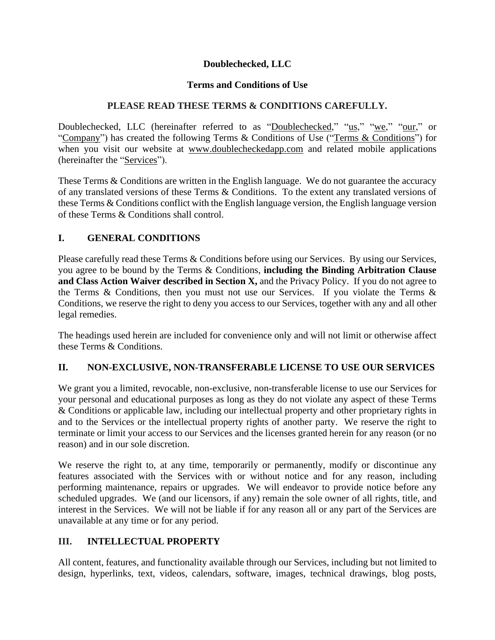## **Doublechecked, LLC**

## **Terms and Conditions of Use**

## **PLEASE READ THESE TERMS & CONDITIONS CAREFULLY.**

Doublechecked, LLC (hereinafter referred to as "Doublechecked," "us," "we," "our," or "Company") has created the following Terms & Conditions of Use ("Terms & Conditions") for when you visit our website at [www.doublecheckedapp.com](http://www.doublecheckedapp.com/) and related mobile applications (hereinafter the "Services").

These Terms & Conditions are written in the English language. We do not guarantee the accuracy of any translated versions of these Terms & Conditions. To the extent any translated versions of these Terms & Conditions conflict with the English language version, the English language version of these Terms & Conditions shall control.

## <span id="page-1-0"></span>**I. GENERAL CONDITIONS**

Please carefully read these Terms & Conditions before using our Services. By using our Services, you agree to be bound by the Terms & Conditions, **including the Binding Arbitration Clause and Class Action Waiver described in Section X,** and the Privacy Policy. If you do not agree to the Terms & Conditions, then you must not use our Services. If you violate the Terms & Conditions, we reserve the right to deny you access to our Services, together with any and all other legal remedies.

The headings used herein are included for convenience only and will not limit or otherwise affect these Terms & Conditions.

## <span id="page-1-1"></span>**II. NON-EXCLUSIVE, NON-TRANSFERABLE LICENSE TO USE OUR SERVICES**

We grant you a limited, revocable, non-exclusive, non-transferable license to use our Services for your personal and educational purposes as long as they do not violate any aspect of these Terms & Conditions or applicable law, including our intellectual property and other proprietary rights in and to the Services or the intellectual property rights of another party. We reserve the right to terminate or limit your access to our Services and the licenses granted herein for any reason (or no reason) and in our sole discretion.

We reserve the right to, at any time, temporarily or permanently, modify or discontinue any features associated with the Services with or without notice and for any reason, including performing maintenance, repairs or upgrades. We will endeavor to provide notice before any scheduled upgrades. We (and our licensors, if any) remain the sole owner of all rights, title, and interest in the Services. We will not be liable if for any reason all or any part of the Services are unavailable at any time or for any period.

# <span id="page-1-2"></span>**III. INTELLECTUAL PROPERTY**

All content, features, and functionality available through our Services, including but not limited to design, hyperlinks, text, videos, calendars, software, images, technical drawings, blog posts,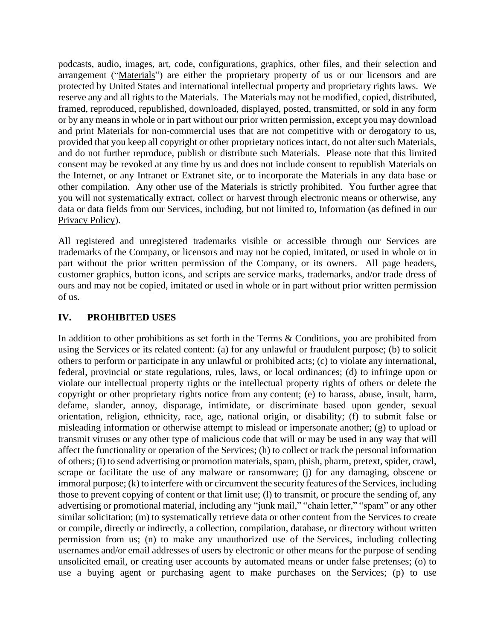podcasts, audio, images, art, code, configurations, graphics, other files, and their selection and arrangement ("Materials") are either the proprietary property of us or our licensors and are protected by United States and international intellectual property and proprietary rights laws. We reserve any and all rights to the Materials. The Materials may not be modified, copied, distributed, framed, reproduced, republished, downloaded, displayed, posted, transmitted, or sold in any form or by any meansin whole or in part without our prior written permission, except you may download and print Materials for non-commercial uses that are not competitive with or derogatory to us, provided that you keep all copyright or other proprietary notices intact, do not alter such Materials, and do not further reproduce, publish or distribute such Materials. Please note that this limited consent may be revoked at any time by us and does not include consent to republish Materials on the Internet, or any Intranet or Extranet site, or to incorporate the Materials in any data base or other compilation. Any other use of the Materials is strictly prohibited. You further agree that you will not systematically extract, collect or harvest through electronic means or otherwise, any data or data fields from our Services, including, but not limited to, Information (as defined in our [Privacy](https://www.doublecheckedapp.com/privacy-policy) Policy).

All registered and unregistered trademarks visible or accessible through our Services are trademarks of the Company, or licensors and may not be copied, imitated, or used in whole or in part without the prior written permission of the Company, or its owners. All page headers, customer graphics, button icons, and scripts are service marks, trademarks, and/or trade dress of ours and may not be copied, imitated or used in whole or in part without prior written permission of us.

#### <span id="page-2-0"></span>**IV. PROHIBITED USES**

In addition to other prohibitions as set forth in the Terms & Conditions, you are prohibited from using the Services or its related content: (a) for any unlawful or fraudulent purpose; (b) to solicit others to perform or participate in any unlawful or prohibited acts; (c) to violate any international, federal, provincial or state regulations, rules, laws, or local ordinances; (d) to infringe upon or violate our intellectual property rights or the intellectual property rights of others or delete the copyright or other proprietary rights notice from any content; (e) to harass, abuse, insult, harm, defame, slander, annoy, disparage, intimidate, or discriminate based upon gender, sexual orientation, religion, ethnicity, race, age, national origin, or disability; (f) to submit false or misleading information or otherwise attempt to mislead or impersonate another; (g) to upload or transmit viruses or any other type of malicious code that will or may be used in any way that will affect the functionality or operation of the Services; (h) to collect or track the personal information of others; (i) to send advertising or promotion materials, spam, phish, pharm, pretext, spider, crawl, scrape or facilitate the use of any malware or ransomware; (j) for any damaging, obscene or immoral purpose; (k) to interfere with or circumvent the security features of the Services, including those to prevent copying of content or that limit use; (l) to transmit, or procure the sending of, any advertising or promotional material, including any "junk mail," "chain letter," "spam" or any other similar solicitation; (m) to systematically retrieve data or other content from the Services to create or compile, directly or indirectly, a collection, compilation, database, or directory without written permission from us; (n) to make any unauthorized use of the Services, including collecting usernames and/or email addresses of users by electronic or other means for the purpose of sending unsolicited email, or creating user accounts by automated means or under false pretenses; (o) to use a buying agent or purchasing agent to make purchases on the Services; (p) to use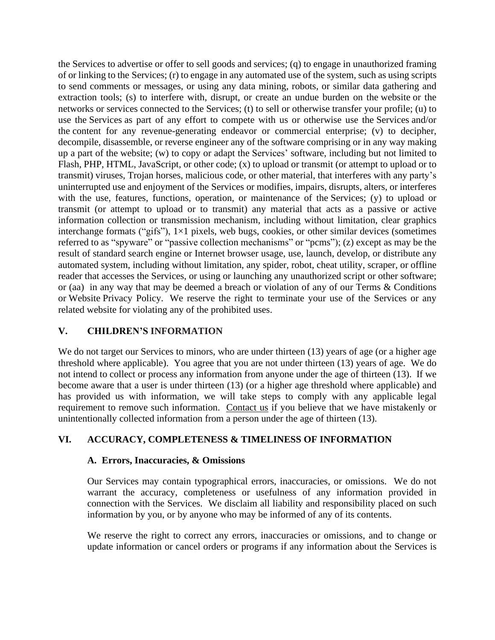the Services to advertise or offer to sell goods and services; (q) to engage in unauthorized framing of or linking to the Services; (r) to engage in any automated use of the system, such as using scripts to send comments or messages, or using any data mining, robots, or similar data gathering and extraction tools; (s) to interfere with, disrupt, or create an undue burden on the website or the networks or services connected to the Services; (t) to sell or otherwise transfer your profile; (u) to use the Services as part of any effort to compete with us or otherwise use the Services and/or the content for any revenue-generating endeavor or commercial enterprise; (v) to decipher, decompile, disassemble, or reverse engineer any of the software comprising or in any way making up a part of the website; (w) to copy or adapt the Services' software, including but not limited to Flash, PHP, HTML, JavaScript, or other code; (x) to upload or transmit (or attempt to upload or to transmit) viruses, Trojan horses, malicious code, or other material, that interferes with any party's uninterrupted use and enjoyment of the Services or modifies, impairs, disrupts, alters, or interferes with the use, features, functions, operation, or maintenance of the Services; (y) to upload or transmit (or attempt to upload or to transmit) any material that acts as a passive or active information collection or transmission mechanism, including without limitation, clear graphics interchange formats ("gifs"),  $1\times1$  pixels, web bugs, cookies, or other similar devices (sometimes referred to as "spyware" or "passive collection mechanisms" or "pcms"); (z) except as may be the result of standard search engine or Internet browser usage, use, launch, develop, or distribute any automated system, including without limitation, any spider, robot, cheat utility, scraper, or offline reader that accesses the Services, or using or launching any unauthorized script or other software; or (aa) in any way that may be deemed a breach or violation of any of our Terms & Conditions or Website Privacy Policy. We reserve the right to terminate your use of the Services or any related website for violating any of the prohibited uses.

## <span id="page-3-0"></span>**V. CHILDREN'S INFORMATION**

We do not target our Services to minors, who are under thirteen (13) years of age (or a higher age threshold where applicable). You agree that you are not under thirteen (13) years of age. We do not intend to collect or process any information from anyone under the age of thirteen (13). If we become aware that a user is under thirteen (13) (or a higher age threshold where applicable) and has provided us with information, we will take steps to comply with any applicable legal requirement to remove such information. [Contact](https://www.doublecheckedapp.com/contact) us if you believe that we have mistakenly or unintentionally collected information from a person under the age of thirteen (13).

## <span id="page-3-2"></span><span id="page-3-1"></span>**VI. ACCURACY, COMPLETENESS & TIMELINESS OF INFORMATION**

#### **A. Errors, Inaccuracies, & Omissions**

Our Services may contain typographical errors, inaccuracies, or omissions. We do not warrant the accuracy, completeness or usefulness of any information provided in connection with the Services. We disclaim all liability and responsibility placed on such information by you, or by anyone who may be informed of any of its contents.

We reserve the right to correct any errors, inaccuracies or omissions, and to change or update information or cancel orders or programs if any information about the Services is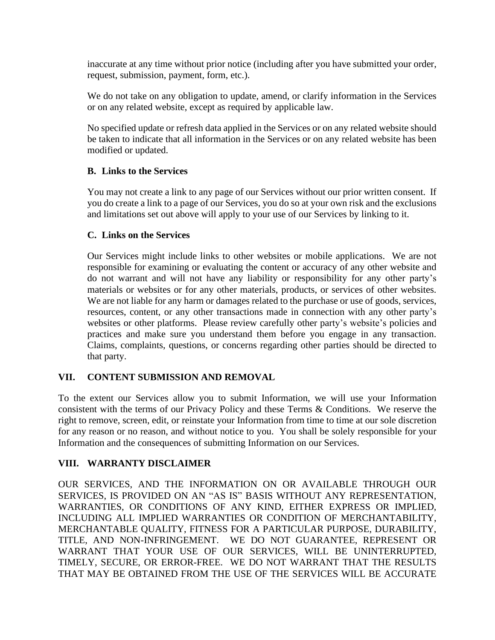inaccurate at any time without prior notice (including after you have submitted your order, request, submission, payment, form, etc.).

We do not take on any obligation to update, amend, or clarify information in the Services or on any related website, except as required by applicable law.

No specified update or refresh data applied in the Services or on any related website should be taken to indicate that all information in the Services or on any related website has been modified or updated.

#### <span id="page-4-0"></span>**B. Links to the Services**

You may not create a link to any page of our Services without our prior written consent. If you do create a link to a page of our Services, you do so at your own risk and the exclusions and limitations set out above will apply to your use of our Services by linking to it.

#### <span id="page-4-1"></span>**C. Links on the Services**

Our Services might include links to other websites or mobile applications. We are not responsible for examining or evaluating the content or accuracy of any other website and do not warrant and will not have any liability or responsibility for any other party's materials or websites or for any other materials, products, or services of other websites. We are not liable for any harm or damages related to the purchase or use of goods, services, resources, content, or any other transactions made in connection with any other party's websites or other platforms. Please review carefully other party's website's policies and practices and make sure you understand them before you engage in any transaction. Claims, complaints, questions, or concerns regarding other parties should be directed to that party.

## <span id="page-4-2"></span>**VII. CONTENT SUBMISSION AND REMOVAL**

To the extent our Services allow you to submit Information, we will use your Information consistent with the terms of our Privacy Policy and these Terms & Conditions. We reserve the right to remove, screen, edit, or reinstate your Information from time to time at our sole discretion for any reason or no reason, and without notice to you. You shall be solely responsible for your Information and the consequences of submitting Information on our Services.

#### <span id="page-4-3"></span>**VIII. WARRANTY DISCLAIMER**

OUR SERVICES, AND THE INFORMATION ON OR AVAILABLE THROUGH OUR SERVICES, IS PROVIDED ON AN "AS IS" BASIS WITHOUT ANY REPRESENTATION, WARRANTIES, OR CONDITIONS OF ANY KIND, EITHER EXPRESS OR IMPLIED, INCLUDING ALL IMPLIED WARRANTIES OR CONDITION OF MERCHANTABILITY, MERCHANTABLE QUALITY, FITNESS FOR A PARTICULAR PURPOSE, DURABILITY, TITLE, AND NON-INFRINGEMENT. WE DO NOT GUARANTEE, REPRESENT OR WARRANT THAT YOUR USE OF OUR SERVICES, WILL BE UNINTERRUPTED, TIMELY, SECURE, OR ERROR-FREE. WE DO NOT WARRANT THAT THE RESULTS THAT MAY BE OBTAINED FROM THE USE OF THE SERVICES WILL BE ACCURATE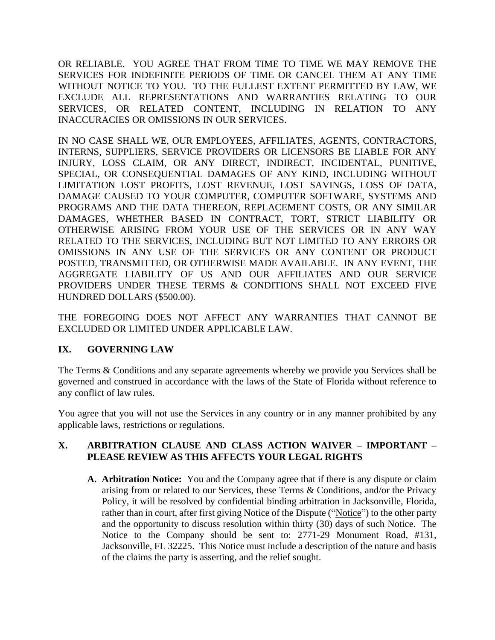OR RELIABLE. YOU AGREE THAT FROM TIME TO TIME WE MAY REMOVE THE SERVICES FOR INDEFINITE PERIODS OF TIME OR CANCEL THEM AT ANY TIME WITHOUT NOTICE TO YOU. TO THE FULLEST EXTENT PERMITTED BY LAW, WE EXCLUDE ALL REPRESENTATIONS AND WARRANTIES RELATING TO OUR SERVICES, OR RELATED CONTENT, INCLUDING IN RELATION TO ANY INACCURACIES OR OMISSIONS IN OUR SERVICES.

IN NO CASE SHALL WE, OUR EMPLOYEES, AFFILIATES, AGENTS, CONTRACTORS, INTERNS, SUPPLIERS, SERVICE PROVIDERS OR LICENSORS BE LIABLE FOR ANY INJURY, LOSS CLAIM, OR ANY DIRECT, INDIRECT, INCIDENTAL, PUNITIVE, SPECIAL, OR CONSEQUENTIAL DAMAGES OF ANY KIND, INCLUDING WITHOUT LIMITATION LOST PROFITS, LOST REVENUE, LOST SAVINGS, LOSS OF DATA, DAMAGE CAUSED TO YOUR COMPUTER, COMPUTER SOFTWARE, SYSTEMS AND PROGRAMS AND THE DATA THEREON, REPLACEMENT COSTS, OR ANY SIMILAR DAMAGES, WHETHER BASED IN CONTRACT, TORT, STRICT LIABILITY OR OTHERWISE ARISING FROM YOUR USE OF THE SERVICES OR IN ANY WAY RELATED TO THE SERVICES, INCLUDING BUT NOT LIMITED TO ANY ERRORS OR OMISSIONS IN ANY USE OF THE SERVICES OR ANY CONTENT OR PRODUCT POSTED, TRANSMITTED, OR OTHERWISE MADE AVAILABLE. IN ANY EVENT, THE AGGREGATE LIABILITY OF US AND OUR AFFILIATES AND OUR SERVICE PROVIDERS UNDER THESE TERMS & CONDITIONS SHALL NOT EXCEED FIVE HUNDRED DOLLARS (\$500.00).

THE FOREGOING DOES NOT AFFECT ANY WARRANTIES THAT CANNOT BE EXCLUDED OR LIMITED UNDER APPLICABLE LAW.

# <span id="page-5-0"></span>**IX. GOVERNING LAW**

The Terms & Conditions and any separate agreements whereby we provide you Services shall be governed and construed in accordance with the laws of the State of Florida without reference to any conflict of law rules.

You agree that you will not use the Services in any country or in any manner prohibited by any applicable laws, restrictions or regulations.

#### <span id="page-5-1"></span>**X. ARBITRATION CLAUSE AND CLASS ACTION WAIVER – IMPORTANT – PLEASE REVIEW AS THIS AFFECTS YOUR LEGAL RIGHTS**

**A. Arbitration Notice:** You and the Company agree that if there is any dispute or claim arising from or related to our Services, these Terms & Conditions, and/or the Privacy Policy, it will be resolved by confidential binding arbitration in Jacksonville, Florida, rather than in court, after first giving Notice of the Dispute ("Notice") to the other party and the opportunity to discuss resolution within thirty (30) days of such Notice. The Notice to the Company should be sent to: 2771-29 Monument Road, #131, Jacksonville, FL 32225. This Notice must include a description of the nature and basis of the claims the party is asserting, and the relief sought.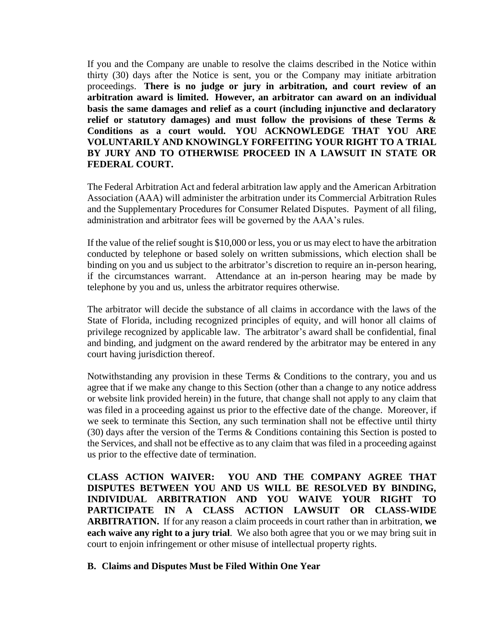If you and the Company are unable to resolve the claims described in the Notice within thirty (30) days after the Notice is sent, you or the Company may initiate arbitration proceedings. **There is no judge or jury in arbitration, and court review of an arbitration award is limited. However, an arbitrator can award on an individual basis the same damages and relief as a court (including injunctive and declaratory relief or statutory damages) and must follow the provisions of these Terms & Conditions as a court would. YOU ACKNOWLEDGE THAT YOU ARE VOLUNTARILY AND KNOWINGLY FORFEITING YOUR RIGHT TO A TRIAL BY JURY AND TO OTHERWISE PROCEED IN A LAWSUIT IN STATE OR FEDERAL COURT.**

The Federal Arbitration Act and federal arbitration law apply and the American Arbitration Association (AAA) will administer the arbitration under its Commercial Arbitration Rules and the Supplementary Procedures for Consumer Related Disputes. Payment of all filing, administration and arbitrator fees will be governed by the AAA's rules.

If the value of the relief sought is \$10,000 or less, you or us may elect to have the arbitration conducted by telephone or based solely on written submissions, which election shall be binding on you and us subject to the arbitrator's discretion to require an in-person hearing, if the circumstances warrant. Attendance at an in-person hearing may be made by telephone by you and us, unless the arbitrator requires otherwise.

The arbitrator will decide the substance of all claims in accordance with the laws of the State of Florida, including recognized principles of equity, and will honor all claims of privilege recognized by applicable law. The arbitrator's award shall be confidential, final and binding, and judgment on the award rendered by the arbitrator may be entered in any court having jurisdiction thereof.

Notwithstanding any provision in these Terms & Conditions to the contrary, you and us agree that if we make any change to this Section (other than a change to any notice address or website link provided herein) in the future, that change shall not apply to any claim that was filed in a proceeding against us prior to the effective date of the change. Moreover, if we seek to terminate this Section, any such termination shall not be effective until thirty (30) days after the version of the Terms & Conditions containing this Section is posted to the Services, and shall not be effective as to any claim that was filed in a proceeding against us prior to the effective date of termination.

**CLASS ACTION WAIVER: YOU AND THE COMPANY AGREE THAT DISPUTES BETWEEN YOU AND US WILL BE RESOLVED BY BINDING, INDIVIDUAL ARBITRATION AND YOU WAIVE YOUR RIGHT TO PARTICIPATE IN A CLASS ACTION LAWSUIT OR CLASS-WIDE ARBITRATION.** If for any reason a claim proceeds in court rather than in arbitration, **we each waive any right to a jury trial**. We also both agree that you or we may bring suit in court to enjoin infringement or other misuse of intellectual property rights.

#### **B. Claims and Disputes Must be Filed Within One Year**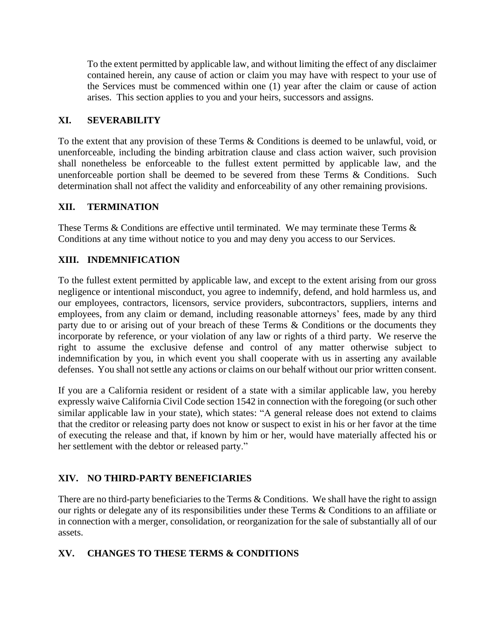To the extent permitted by applicable law, and without limiting the effect of any disclaimer contained herein, any cause of action or claim you may have with respect to your use of the Services must be commenced within one (1) year after the claim or cause of action arises. This section applies to you and your heirs, successors and assigns.

## <span id="page-7-0"></span>**XI. SEVERABILITY**

To the extent that any provision of these Terms & Conditions is deemed to be unlawful, void, or unenforceable, including the binding arbitration clause and class action waiver, such provision shall nonetheless be enforceable to the fullest extent permitted by applicable law, and the unenforceable portion shall be deemed to be severed from these Terms & Conditions. Such determination shall not affect the validity and enforceability of any other remaining provisions.

## <span id="page-7-1"></span>**XII. TERMINATION**

These Terms & Conditions are effective until terminated. We may terminate these Terms & Conditions at any time without notice to you and may deny you access to our Services.

# <span id="page-7-2"></span>**XIII. INDEMNIFICATION**

To the fullest extent permitted by applicable law, and except to the extent arising from our gross negligence or intentional misconduct, you agree to indemnify, defend, and hold harmless us, and our employees, contractors, licensors, service providers, subcontractors, suppliers, interns and employees, from any claim or demand, including reasonable attorneys' fees, made by any third party due to or arising out of your breach of these Terms & Conditions or the documents they incorporate by reference, or your violation of any law or rights of a third party. We reserve the right to assume the exclusive defense and control of any matter otherwise subject to indemnification by you, in which event you shall cooperate with us in asserting any available defenses. You shall not settle any actions or claims on our behalf without our prior written consent.

If you are a California resident or resident of a state with a similar applicable law, you hereby expressly waive California Civil Code section 1542 in connection with the foregoing (or such other similar applicable law in your state), which states: "A general release does not extend to claims that the creditor or releasing party does not know or suspect to exist in his or her favor at the time of executing the release and that, if known by him or her, would have materially affected his or her settlement with the debtor or released party."

# <span id="page-7-3"></span>**XIV. NO THIRD-PARTY BENEFICIARIES**

There are no third-party beneficiaries to the Terms & Conditions. We shall have the right to assign our rights or delegate any of its responsibilities under these Terms & Conditions to an affiliate or in connection with a merger, consolidation, or reorganization for the sale of substantially all of our assets.

# <span id="page-7-4"></span>**XV. CHANGES TO THESE TERMS & CONDITIONS**